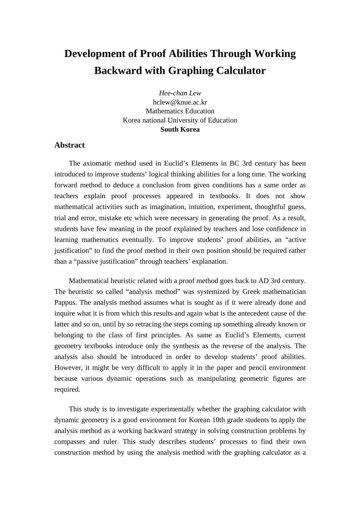## **Development of Proof Abilities Through Working Backward with Graphing Calculator**

*Hee-chan Lew* hclew@knue.ac.kr Mathematics Education Korea national University of Education **South Korea**

## **Abstract**

The axiomatic method used in Euclid's Elements in BC 3rd century has been introduced to improve students' logical thinking abilities for a long time. The working forward method to deduce a conclusion from given conditions has a same order as teachers explain proof processes appeared in textbooks. It does not show mathematical activities such as imagination, intuition, experiment, thoughtful guess, trial and error, mistake etc which were necessary in generating the proof. As a result, students have few meaning in the proof explained by teachers and lose confidence in learning mathematics eventually. To improve students' proof abilities, an "active justification" to find the proof method in their own position should be required rather than a "passive justification" through teachers' explanation.

Mathematical heuristic related with a proof method goes back to AD 3rd century. The heuristic so called "analysis method" was systemized by Greek mathematician Pappus. The analysis method assumes what is sought as if it were already done and inquire what it is from which this results and again what is the antecedent cause of the latter and so on, until by so retracing the steps coming up something already known or belonging to the class of first principles. As same as Euclid's Elements, current geometry textbooks introduce only the synthesis as the reverse of the analysis. The analysis also should be introduced in order to develop students' proof abilities. However, it might be very difficult to apply it in the paper and pencil environment because various dynamic operations such as manipulating geometric figures are required.

This study is to investigate experimentally whether the graphing calculator with dynamic geometry is a good environment for Korean 10th grade students to apply the analysis method as a working backward strategy in solving construction problems by compasses and ruler. This study describes students' processes to find their own construction method by using the analysis method with the graphing calculator as a